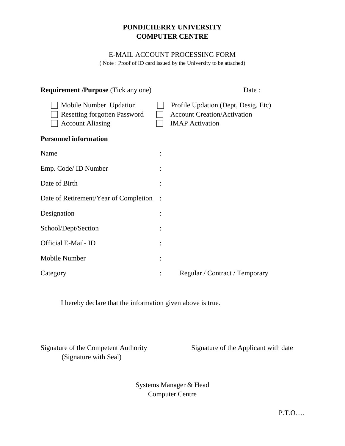## **PONDICHERRY UNIVERSITY COMPUTER CENTRE**

#### E-MAIL ACCOUNT PROCESSING FORM

( Note : Proof of ID card issued by the University to be attached)

| <b>Requirement /Purpose</b> (Tick any one)                                               | Date:                                                                                               |
|------------------------------------------------------------------------------------------|-----------------------------------------------------------------------------------------------------|
| Mobile Number Updation<br><b>Resetting forgotten Password</b><br><b>Account Aliasing</b> | Profile Updation (Dept, Desig. Etc)<br><b>Account Creation/Activation</b><br><b>IMAP</b> Activation |
| <b>Personnel information</b>                                                             |                                                                                                     |
| Name                                                                                     |                                                                                                     |
| Emp. Code/ ID Number                                                                     |                                                                                                     |
| Date of Birth                                                                            |                                                                                                     |
| Date of Retirement/Year of Completion                                                    |                                                                                                     |
| Designation                                                                              |                                                                                                     |
| School/Dept/Section                                                                      |                                                                                                     |
| Official E-Mail-ID                                                                       |                                                                                                     |
| Mobile Number                                                                            |                                                                                                     |
| Category                                                                                 | Regular / Contract / Temporary                                                                      |

I hereby declare that the information given above is true.

Signature of the Competent Authority Signature of the Applicant with date (Signature with Seal)

Systems Manager & Head Computer Centre